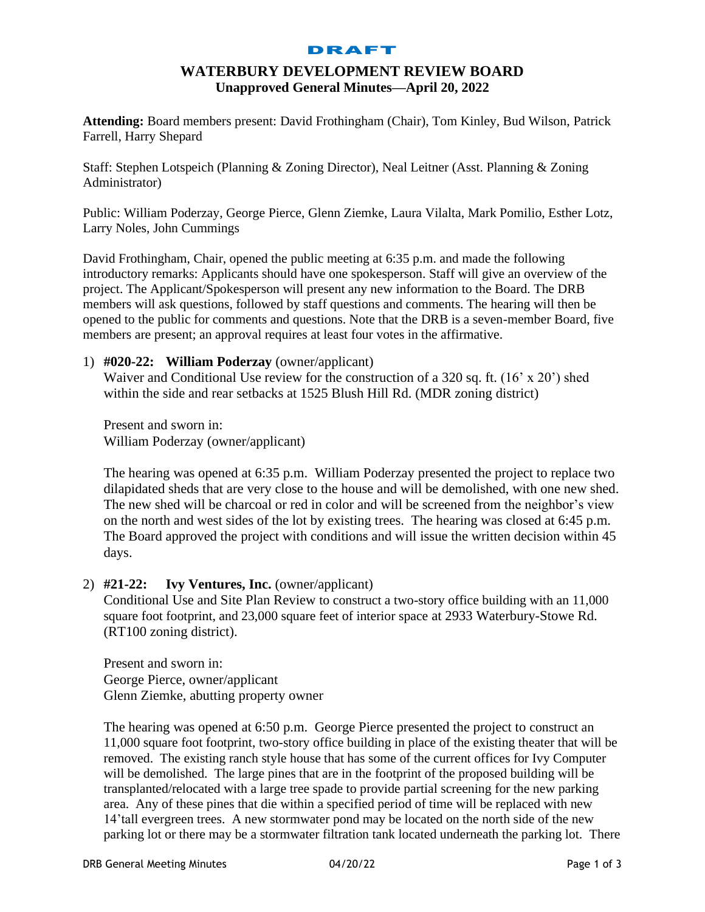#### DRAFT

# **WATERBURY DEVELOPMENT REVIEW BOARD Unapproved General Minutes—April 20, 2022**

**Attending:** Board members present: David Frothingham (Chair), Tom Kinley, Bud Wilson, Patrick Farrell, Harry Shepard

Staff: Stephen Lotspeich (Planning & Zoning Director), Neal Leitner (Asst. Planning & Zoning Administrator)

Public: William Poderzay, George Pierce, Glenn Ziemke, Laura Vilalta, Mark Pomilio, Esther Lotz, Larry Noles, John Cummings

David Frothingham, Chair, opened the public meeting at 6:35 p.m. and made the following introductory remarks: Applicants should have one spokesperson. Staff will give an overview of the project. The Applicant/Spokesperson will present any new information to the Board. The DRB members will ask questions, followed by staff questions and comments. The hearing will then be opened to the public for comments and questions. Note that the DRB is a seven-member Board, five members are present; an approval requires at least four votes in the affirmative.

### 1) **#020-22: William Poderzay** (owner/applicant)

Waiver and Conditional Use review for the construction of a 320 sq. ft. (16' x 20') shed within the side and rear setbacks at 1525 Blush Hill Rd. (MDR zoning district)

Present and sworn in: William Poderzay (owner/applicant)

The hearing was opened at 6:35 p.m. William Poderzay presented the project to replace two dilapidated sheds that are very close to the house and will be demolished, with one new shed. The new shed will be charcoal or red in color and will be screened from the neighbor's view on the north and west sides of the lot by existing trees. The hearing was closed at 6:45 p.m. The Board approved the project with conditions and will issue the written decision within 45 days.

### 2) **#21-22: Ivy Ventures, Inc.** (owner/applicant)

Conditional Use and Site Plan Review to construct a two-story office building with an 11,000 square foot footprint, and 23,000 square feet of interior space at 2933 Waterbury-Stowe Rd. (RT100 zoning district).

Present and sworn in: George Pierce, owner/applicant Glenn Ziemke, abutting property owner

The hearing was opened at 6:50 p.m. George Pierce presented the project to construct an 11,000 square foot footprint, two-story office building in place of the existing theater that will be removed. The existing ranch style house that has some of the current offices for Ivy Computer will be demolished. The large pines that are in the footprint of the proposed building will be transplanted/relocated with a large tree spade to provide partial screening for the new parking area. Any of these pines that die within a specified period of time will be replaced with new 14'tall evergreen trees. A new stormwater pond may be located on the north side of the new parking lot or there may be a stormwater filtration tank located underneath the parking lot. There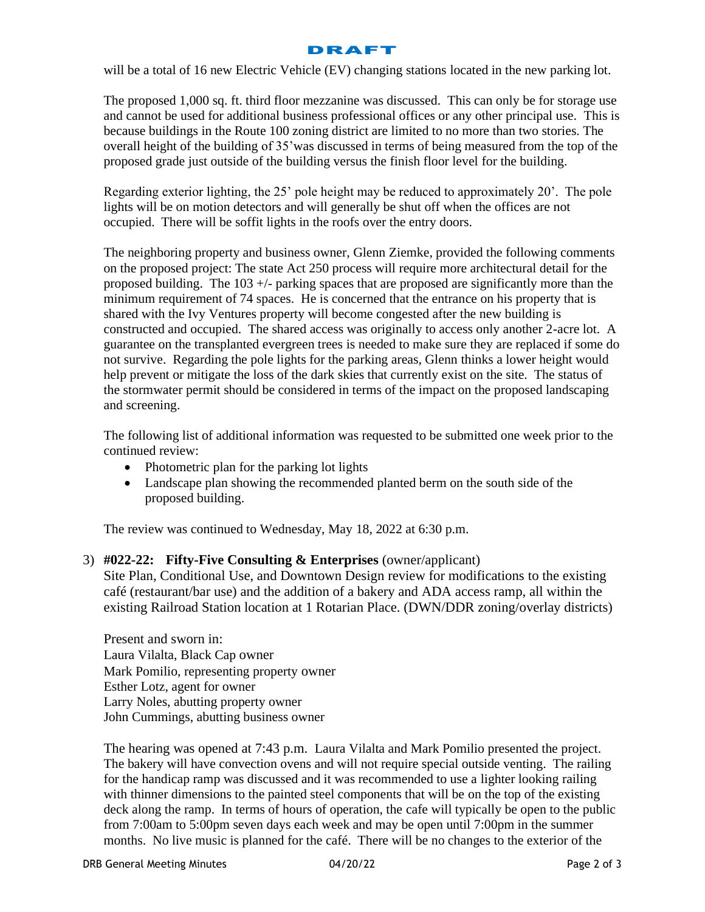

will be a total of 16 new Electric Vehicle (EV) changing stations located in the new parking lot.

The proposed 1,000 sq. ft. third floor mezzanine was discussed. This can only be for storage use and cannot be used for additional business professional offices or any other principal use. This is because buildings in the Route 100 zoning district are limited to no more than two stories. The overall height of the building of 35'was discussed in terms of being measured from the top of the proposed grade just outside of the building versus the finish floor level for the building.

Regarding exterior lighting, the 25' pole height may be reduced to approximately 20'. The pole lights will be on motion detectors and will generally be shut off when the offices are not occupied. There will be soffit lights in the roofs over the entry doors.

The neighboring property and business owner, Glenn Ziemke, provided the following comments on the proposed project: The state Act 250 process will require more architectural detail for the proposed building. The 103 +/- parking spaces that are proposed are significantly more than the minimum requirement of 74 spaces. He is concerned that the entrance on his property that is shared with the Ivy Ventures property will become congested after the new building is constructed and occupied. The shared access was originally to access only another 2-acre lot. A guarantee on the transplanted evergreen trees is needed to make sure they are replaced if some do not survive. Regarding the pole lights for the parking areas, Glenn thinks a lower height would help prevent or mitigate the loss of the dark skies that currently exist on the site. The status of the stormwater permit should be considered in terms of the impact on the proposed landscaping and screening.

The following list of additional information was requested to be submitted one week prior to the continued review:

- Photometric plan for the parking lot lights
- Landscape plan showing the recommended planted berm on the south side of the proposed building.

The review was continued to Wednesday, May 18, 2022 at 6:30 p.m.

## 3) **#022-22: Fifty-Five Consulting & Enterprises** (owner/applicant)

Site Plan, Conditional Use, and Downtown Design review for modifications to the existing café (restaurant/bar use) and the addition of a bakery and ADA access ramp, all within the existing Railroad Station location at 1 Rotarian Place. (DWN/DDR zoning/overlay districts)

Present and sworn in: Laura Vilalta, Black Cap owner Mark Pomilio, representing property owner Esther Lotz, agent for owner Larry Noles, abutting property owner John Cummings, abutting business owner

The hearing was opened at 7:43 p.m. Laura Vilalta and Mark Pomilio presented the project. The bakery will have convection ovens and will not require special outside venting. The railing for the handicap ramp was discussed and it was recommended to use a lighter looking railing with thinner dimensions to the painted steel components that will be on the top of the existing deck along the ramp. In terms of hours of operation, the cafe will typically be open to the public from 7:00am to 5:00pm seven days each week and may be open until 7:00pm in the summer months. No live music is planned for the café. There will be no changes to the exterior of the